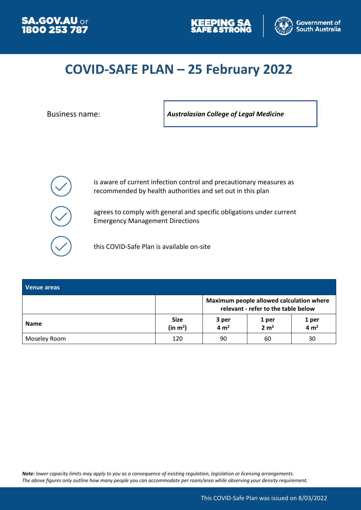





# **COVID-SAFE PLAN – 25 February 2022**

Business name: *Australasian College of Legal Medicine*



is aware of current infection control and precautionary measures as recommended by health authorities and set out in this plan

agrees to comply with general and specific obligations under current Emergency Management Directions

this COVID-Safe Plan is available on-site

| Venue areas  |                                     |                                                                                 |                           |                           |
|--------------|-------------------------------------|---------------------------------------------------------------------------------|---------------------------|---------------------------|
|              |                                     | Maximum people allowed calculation where<br>relevant - refer to the table below |                           |                           |
| <b>Name</b>  | <b>Size</b><br>(in m <sup>2</sup> ) | 3 per<br>4 m <sup>2</sup>                                                       | 1 per<br>2 m <sup>2</sup> | 1 per<br>4 m <sup>2</sup> |
| Moseley Room | 120                                 | 90                                                                              | 60                        | 30                        |

*Note: lower capacity limits may apply to you as a consequence of existing regulation, legislation or licensing arrangements. The above figures only outline how many people you can accommodate per room/area while observing your density requirement.*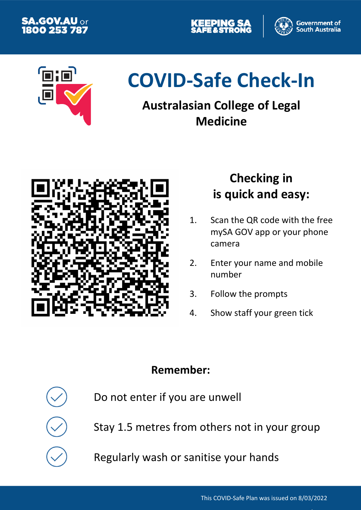





# **COVID-Safe Check-In**

# **Australasian College of Legal Medicine**



# **Checking in is quick and easy:**

- 1. Scan the QR code with the free mySA GOV app or your phone camera
- 2. Enter your name and mobile number
- 3. Follow the prompts
- 4. Show staff your green tick

# **Remember:**

Do not enter if you are unwell

Stay 1.5 metres from others not in your group

Regularly wash or sanitise your hands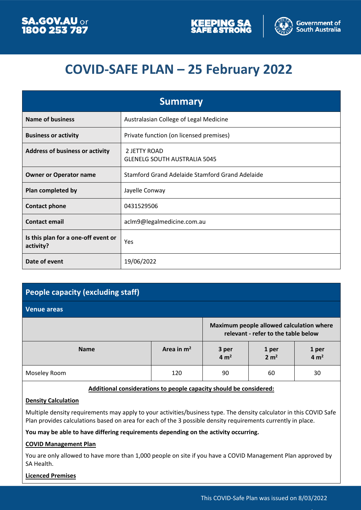



# **COVID-SAFE PLAN – 25 February 2022**

| <b>Summary</b>                                   |                                                     |  |  |
|--------------------------------------------------|-----------------------------------------------------|--|--|
| <b>Name of business</b>                          | Australasian College of Legal Medicine              |  |  |
| <b>Business or activity</b>                      | Private function (on licensed premises)             |  |  |
| <b>Address of business or activity</b>           | 2 JETTY ROAD<br><b>GLENELG SOUTH AUSTRALIA 5045</b> |  |  |
| <b>Owner or Operator name</b>                    | Stamford Grand Adelaide Stamford Grand Adelaide     |  |  |
| Plan completed by                                | Jayelle Conway                                      |  |  |
| <b>Contact phone</b>                             | 0431529506                                          |  |  |
| <b>Contact email</b>                             | aclm9@legalmedicine.com.au                          |  |  |
| Is this plan for a one-off event or<br>activity? | Yes                                                 |  |  |
| Date of event                                    | 19/06/2022                                          |  |  |

# **People capacity (excluding staff)**

**Venue areas**

|              |              | Maximum people allowed calculation where<br>relevant - refer to the table below |                           |                           |
|--------------|--------------|---------------------------------------------------------------------------------|---------------------------|---------------------------|
| <b>Name</b>  | Area in $m2$ | 3 per<br>$4 \text{ m}^2$                                                        | 1 per<br>2 m <sup>2</sup> | 1 per<br>4 m <sup>2</sup> |
| Moseley Room | 120          | 90                                                                              | 60                        | 30                        |

#### **Additional considerations to people capacity should be considered:**

#### **Density Calculation**

Multiple density requirements may apply to your activities/business type. The density calculator in this COVID Safe Plan provides calculations based on area for each of the 3 possible density requirements currently in place.

#### **You may be able to have differing requirements depending on the activity occurring.**

#### **COVID Management Plan**

You are only allowed to have more than 1,000 people on site if you have a COVID Management Plan approved by SA Health.

**Licenced Premises**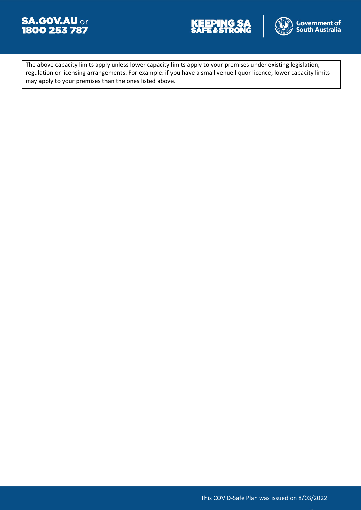





The above capacity limits apply unless lower capacity limits apply to your premises under existing legislation, regulation or licensing arrangements. For example: if you have a small venue liquor licence, lower capacity limits may apply to your premises than the ones listed above.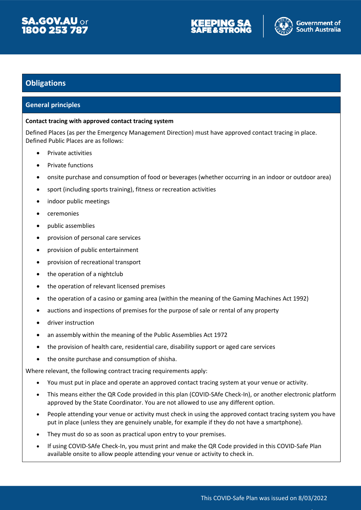





## **Obligations**

#### **General principles**

#### **Contact tracing with approved contact tracing system**

Defined Places (as per the Emergency Management Direction) must have approved contact tracing in place. Defined Public Places are as follows:

- Private activities
- Private functions
- onsite purchase and consumption of food or beverages (whether occurring in an indoor or outdoor area)
- sport (including sports training), fitness or recreation activities
- indoor public meetings
- ceremonies
- public assemblies
- provision of personal care services
- provision of public entertainment
- provision of recreational transport
- the operation of a nightclub
- the operation of relevant licensed premises
- the operation of a casino or gaming area (within the meaning of the Gaming Machines Act 1992)
- auctions and inspections of premises for the purpose of sale or rental of any property
- **•** driver instruction
- an assembly within the meaning of the Public Assemblies Act 1972
- the provision of health care, residential care, disability support or aged care services
- the onsite purchase and consumption of shisha.

Where relevant, the following contract tracing requirements apply:

- You must put in place and operate an approved contact tracing system at your venue or activity.
- This means either the QR Code provided in this plan (COVID-SAfe Check-In), or another electronic platform approved by the State Coordinator. You are not allowed to use any different option.
- People attending your venue or activity must check in using the approved contact tracing system you have put in place (unless they are genuinely unable, for example if they do not have a smartphone).
- They must do so as soon as practical upon entry to your premises.
- If using COVID-SAfe Check-In, you must print and make the QR Code provided in this COVID-Safe Plan available onsite to allow people attending your venue or activity to check in.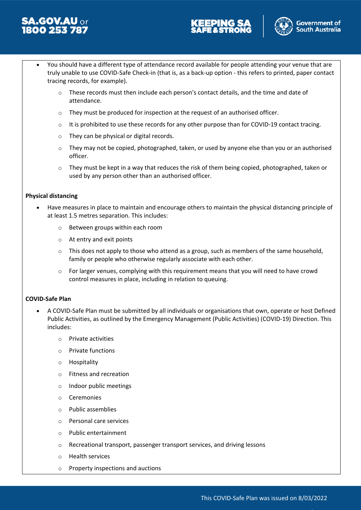





- You should have a different type of attendance record available for people attending your venue that are truly unable to use COVID-Safe Check-in (that is, as a back-up option - this refers to printed, paper contact tracing records, for example).
	- $\circ$  These records must then include each person's contact details, and the time and date of attendance.
	- o They must be produced for inspection at the request of an authorised officer.
	- $\circ$  It is prohibited to use these records for any other purpose than for COVID-19 contact tracing.
	- o They can be physical or digital records.
	- $\circ$  They may not be copied, photographed, taken, or used by anyone else than you or an authorised officer.
	- They must be kept in a way that reduces the risk of them being copied, photographed, taken or used by any person other than an authorised officer.

#### **Physical distancing**

- Have measures in place to maintain and encourage others to maintain the physical distancing principle of at least 1.5 metres separation. This includes:
	- o Between groups within each room
	- o At entry and exit points
	- $\circ$  This does not apply to those who attend as a group, such as members of the same household, family or people who otherwise regularly associate with each other.
	- o For larger venues, complying with this requirement means that you will need to have crowd control measures in place, including in relation to queuing.

#### **COVID-Safe Plan**

- A COVID-Safe Plan must be submitted by all individuals or organisations that own, operate or host Defined Public Activities, as outlined by the Emergency Management (Public Activities) (COVID-19) Direction. This includes:
	- o Private activities
	- o Private functions
	- o Hospitality
	- o Fitness and recreation
	- o Indoor public meetings
	- o Ceremonies
	- o Public assemblies
	- o Personal care services
	- o Public entertainment
	- o Recreational transport, passenger transport services, and driving lessons
	- o Health services
	- o Property inspections and auctions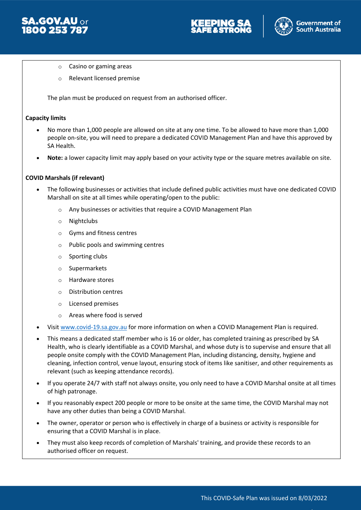



- o Casino or gaming areas
- o Relevant licensed premise

The plan must be produced on request from an authorised officer.

#### **Capacity limits**

- No more than 1,000 people are allowed on site at any one time. To be allowed to have more than 1,000 people on-site, you will need to prepare a dedicated COVID Management Plan and have this approved by SA Health.
- **Note:** a lower capacity limit may apply based on your activity type or the square metres available on site.

#### **COVID Marshals (if relevant)**

- The following businesses or activities that include defined public activities must have one dedicated COVID Marshall on site at all times while operating/open to the public:
	- o Any businesses or activities that require a COVID Management Plan
	- o Nightclubs
	- o Gyms and fitness centres
	- o Public pools and swimming centres
	- o Sporting clubs
	- o Supermarkets
	- o Hardware stores
	- o Distribution centres
	- o Licensed premises
	- o Areas where food is served
- Visit [www.covid-19.sa.gov.au](http://www.covid-19.sa.gov.au/) for more information on when a COVID Management Plan is required.
- This means a dedicated staff member who is 16 or older, has completed training as prescribed by SA Health, who is clearly identifiable as a COVID Marshal, and whose duty is to supervise and ensure that all people onsite comply with the COVID Management Plan, including distancing, density, hygiene and cleaning, infection control, venue layout, ensuring stock of items like sanitiser, and other requirements as relevant (such as keeping attendance records).
- If you operate 24/7 with staff not always onsite, you only need to have a COVID Marshal onsite at all times of high patronage.
- If you reasonably expect 200 people or more to be onsite at the same time, the COVID Marshal may not have any other duties than being a COVID Marshal.
- The owner, operator or person who is effectively in charge of a business or activity is responsible for ensuring that a COVID Marshal is in place.
- They must also keep records of completion of Marshals' training, and provide these records to an authorised officer on request.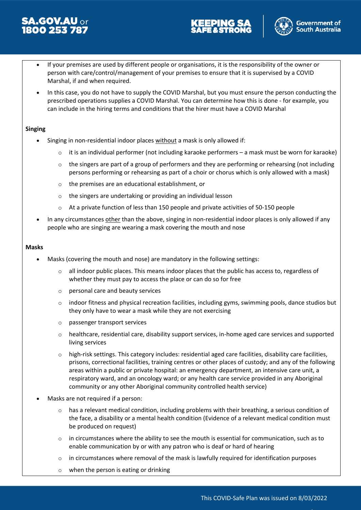





- If your premises are used by different people or organisations, it is the responsibility of the owner or person with care/control/management of your premises to ensure that it is supervised by a COVID Marshal, if and when required.
- In this case, you do not have to supply the COVID Marshal, but you must ensure the person conducting the prescribed operations supplies a COVID Marshal. You can determine how this is done - for example, you can include in the hiring terms and conditions that the hirer must have a COVID Marshal

#### **Singing**

- Singing in non-residential indoor places without a mask is only allowed if:
	- $\circ$  it is an individual performer (not including karaoke performers a mask must be worn for karaoke)
	- $\circ$  the singers are part of a group of performers and they are performing or rehearsing (not including persons performing or rehearsing as part of a choir or chorus which is only allowed with a mask)
	- o the premises are an educational establishment, or
	- o the singers are undertaking or providing an individual lesson
	- $\circ$  At a private function of less than 150 people and private activities of 50-150 people
- In any circumstances other than the above, singing in non-residential indoor places is only allowed if any people who are singing are wearing a mask covering the mouth and nose

#### **Masks**

- Masks (covering the mouth and nose) are mandatory in the following settings:
	- o all indoor public places. This means indoor places that the public has access to, regardless of whether they must pay to access the place or can do so for free
	- o personal care and beauty services
	- $\circ$  indoor fitness and physical recreation facilities, including gyms, swimming pools, dance studios but they only have to wear a mask while they are not exercising
	- o passenger transport services
	- $\circ$  healthcare, residential care, disability support services, in-home aged care services and supported living services
	- o high-risk settings. This category includes: residential aged care facilities, disability care facilities, prisons, correctional facilities, training centres or other places of custody; and any of the following areas within a public or private hospital: an emergency department, an intensive care unit, a respiratory ward, and an oncology ward; or any health care service provided in any Aboriginal community or any other Aboriginal community controlled health service)
- Masks are not required if a person:
	- $\circ$  has a relevant medical condition, including problems with their breathing, a serious condition of the face, a disability or a mental health condition (Evidence of a relevant medical condition must be produced on request)
	- $\circ$  in circumstances where the ability to see the mouth is essential for communication, such as to enable communication by or with any patron who is deaf or hard of hearing
	- $\circ$  in circumstances where removal of the mask is lawfully required for identification purposes
	- o when the person is eating or drinking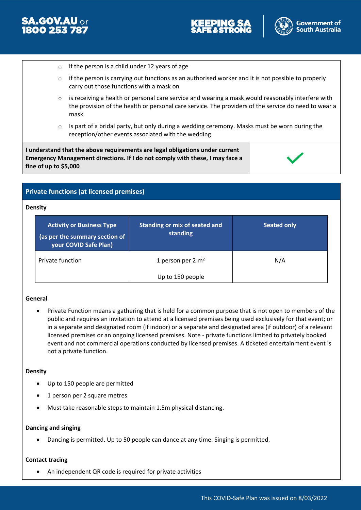



- $\circ$  if the person is a child under 12 years of age
- $\circ$  if the person is carrying out functions as an authorised worker and it is not possible to properly carry out those functions with a mask on
- $\circ$  is receiving a health or personal care service and wearing a mask would reasonably interfere with the provision of the health or personal care service. The providers of the service do need to wear a mask.
- o Is part of a bridal party, but only during a wedding ceremony. Masks must be worn during the reception/other events associated with the wedding.

**I understand that the above requirements are legal obligations under current Emergency Management directions. If I do not comply with these, I may face a fine of up to \$5,000**



### **Private functions (at licensed premises)**

#### **Density**

| <b>Activity or Business Type</b><br>(as per the summary section of<br>your COVID Safe Plan) | Standing or mix of seated and<br>standing | <b>Seated only</b> |
|---------------------------------------------------------------------------------------------|-------------------------------------------|--------------------|
| Private function                                                                            | 1 person per 2 $m2$                       | N/A                |
|                                                                                             | Up to 150 people                          |                    |

#### **General**

 Private Function means a gathering that is held for a common purpose that is not open to members of the public and requires an invitation to attend at a licensed premises being used exclusively for that event; or in a separate and designated room (if indoor) or a separate and designated area (if outdoor) of a relevant licensed premises or an ongoing licensed premises. Note - private functions limited to privately booked event and not commercial operations conducted by licensed premises. A ticketed entertainment event is not a private function.

#### **Density**

- Up to 150 people are permitted
- 1 person per 2 square metres
- Must take reasonable steps to maintain 1.5m physical distancing.

#### **Dancing and singing**

Dancing is permitted. Up to 50 people can dance at any time. Singing is permitted.

#### **Contact tracing**

An independent QR code is required for private activities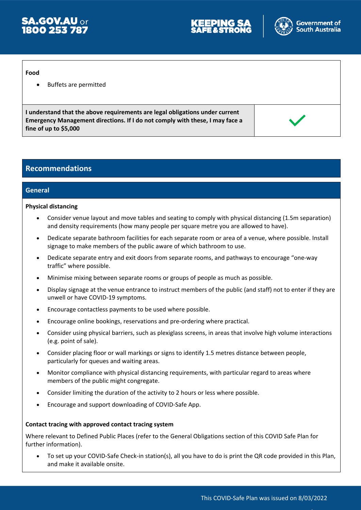



#### **Food**

Buffets are permitted

**I understand that the above requirements are legal obligations under current Emergency Management directions. If I do not comply with these, I may face a fine of up to \$5,000**



### **Recommendations**

#### **General**

#### **Physical distancing**

- Consider venue layout and move tables and seating to comply with physical distancing (1.5m separation) and density requirements (how many people per square metre you are allowed to have).
- Dedicate separate bathroom facilities for each separate room or area of a venue, where possible. Install signage to make members of the public aware of which bathroom to use.
- Dedicate separate entry and exit doors from separate rooms, and pathways to encourage "one-way traffic" where possible.
- Minimise mixing between separate rooms or groups of people as much as possible.
- Display signage at the venue entrance to instruct members of the public (and staff) not to enter if they are unwell or have COVID-19 symptoms.
- Encourage contactless payments to be used where possible.
- Encourage online bookings, reservations and pre-ordering where practical.
- Consider using physical barriers, such as plexiglass screens, in areas that involve high volume interactions (e.g. point of sale).
- Consider placing floor or wall markings or signs to identify 1.5 metres distance between people, particularly for queues and waiting areas.
- Monitor compliance with physical distancing requirements, with particular regard to areas where members of the public might congregate.
- Consider limiting the duration of the activity to 2 hours or less where possible.
- Encourage and support downloading of COVID-Safe App.

#### **Contact tracing with approved contact tracing system**

Where relevant to Defined Public Places (refer to the General Obligations section of this COVID Safe Plan for further information).

 To set up your COVID-Safe Check-in station(s), all you have to do is print the QR code provided in this Plan, and make it available onsite.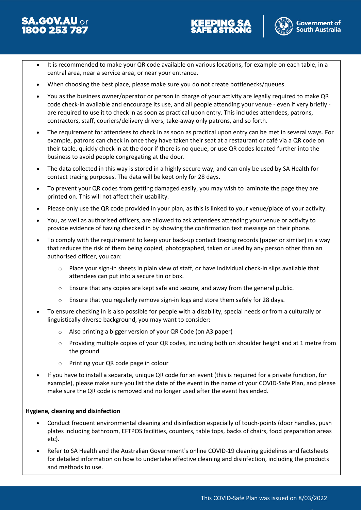





- It is recommended to make your QR code available on various locations, for example on each table, in a central area, near a service area, or near your entrance.
- When choosing the best place, please make sure you do not create bottlenecks/queues.
- You as the business owner/operator or person in charge of your activity are legally required to make QR code check-in available and encourage its use, and all people attending your venue - even if very briefly are required to use it to check in as soon as practical upon entry. This includes attendees, patrons, contractors, staff, couriers/delivery drivers, take-away only patrons, and so forth.
- The requirement for attendees to check in as soon as practical upon entry can be met in several ways. For example, patrons can check in once they have taken their seat at a restaurant or café via a QR code on their table, quickly check in at the door if there is no queue, or use QR codes located further into the business to avoid people congregating at the door.
- The data collected in this way is stored in a highly secure way, and can only be used by SA Health for contact tracing purposes. The data will be kept only for 28 days.
- To prevent your QR codes from getting damaged easily, you may wish to laminate the page they are printed on. This will not affect their usability.
- Please only use the QR code provided in your plan, as this is linked to your venue/place of your activity.
- You, as well as authorised officers, are allowed to ask attendees attending your venue or activity to provide evidence of having checked in by showing the confirmation text message on their phone.
- To comply with the requirement to keep your back-up contact tracing records (paper or similar) in a way that reduces the risk of them being copied, photographed, taken or used by any person other than an authorised officer, you can:
	- o Place your sign-in sheets in plain view of staff, or have individual check-in slips available that attendees can put into a secure tin or box.
	- $\circ$  Ensure that any copies are kept safe and secure, and away from the general public.
	- $\circ$  Ensure that you regularly remove sign-in logs and store them safely for 28 days.
- To ensure checking in is also possible for people with a disability, special needs or from a culturally or linguistically diverse background, you may want to consider:
	- o Also printing a bigger version of your QR Code (on A3 paper)
	- o Providing multiple copies of your QR codes, including both on shoulder height and at 1 metre from the ground
	- o Printing your QR code page in colour
- If you have to install a separate, unique QR code for an event (this is required for a private function, for example), please make sure you list the date of the event in the name of your COVID-Safe Plan, and please make sure the QR code is removed and no longer used after the event has ended.

#### **Hygiene, cleaning and disinfection**

- Conduct frequent environmental cleaning and disinfection especially of touch-points (door handles, push plates including bathroom, EFTPOS facilities, counters, table tops, backs of chairs, food preparation areas etc).
- Refer to SA Health and the Australian Government's online COVID-19 cleaning guidelines and factsheets for detailed information on how to undertake effective cleaning and disinfection, including the products and methods to use.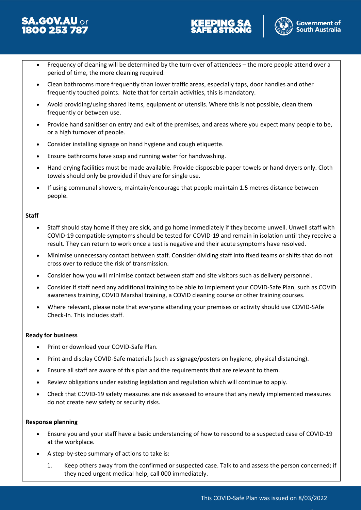





- Frequency of cleaning will be determined by the turn-over of attendees the more people attend over a period of time, the more cleaning required.
- Clean bathrooms more frequently than lower traffic areas, especially taps, door handles and other frequently touched points. Note that for certain activities, this is mandatory.
- Avoid providing/using shared items, equipment or utensils. Where this is not possible, clean them frequently or between use.
- Provide hand sanitiser on entry and exit of the premises, and areas where you expect many people to be, or a high turnover of people.
- Consider installing signage on hand hygiene and cough etiquette.
- Ensure bathrooms have soap and running water for handwashing.
- Hand drying facilities must be made available. Provide disposable paper towels or hand dryers only. Cloth towels should only be provided if they are for single use.
- If using communal showers, maintain/encourage that people maintain 1.5 metres distance between people.

#### **Staff**

- Staff should stay home if they are sick, and go home immediately if they become unwell. Unwell staff with COVID-19 compatible symptoms should be tested for COVID-19 and remain in isolation until they receive a result. They can return to work once a test is negative and their acute symptoms have resolved.
- Minimise unnecessary contact between staff. Consider dividing staff into fixed teams or shifts that do not cross over to reduce the risk of transmission.
- Consider how you will minimise contact between staff and site visitors such as delivery personnel.
- Consider if staff need any additional training to be able to implement your COVID-Safe Plan, such as COVID awareness training, COVID Marshal training, a COVID cleaning course or other training courses.
- Where relevant, please note that everyone attending your premises or activity should use COVID-SAfe Check-In. This includes staff.

#### **Ready for business**

- Print or download your COVID-Safe Plan.
- Print and display COVID-Safe materials (such as signage/posters on hygiene, physical distancing).
- Ensure all staff are aware of this plan and the requirements that are relevant to them.
- Review obligations under existing legislation and regulation which will continue to apply.
- Check that COVID-19 safety measures are risk assessed to ensure that any newly implemented measures do not create new safety or security risks.

#### **Response planning**

- Ensure you and your staff have a basic understanding of how to respond to a suspected case of COVID-19 at the workplace.
- A step-by-step summary of actions to take is:
	- 1. Keep others away from the confirmed or suspected case. Talk to and assess the person concerned; if they need urgent medical help, call 000 immediately.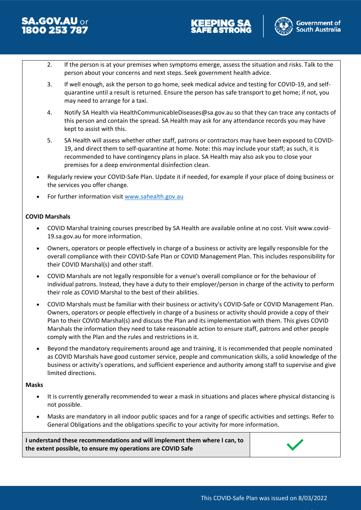





- 2. If the person is at your premises when symptoms emerge, assess the situation and risks. Talk to the person about your concerns and next steps. Seek government health advice.
- 3. If well enough, ask the person to go home, seek medical advice and testing for COVID-19, and selfquarantine until a result is returned. Ensure the person has safe transport to get home; if not, you may need to arrange for a taxi.
- 4. Notify SA Health via HealthCommunicableDiseases@sa.gov.au so that they can trace any contacts of this person and contain the spread. SA Health may ask for any attendance records you may have kept to assist with this.
- 5. SA Health will assess whether other staff, patrons or contractors may have been exposed to COVID-19, and direct them to self-quarantine at home. Note: this may include your staff; as such, it is recommended to have contingency plans in place. SA Health may also ask you to close your premises for a deep environmental disinfection clean.
- Regularly review your COVID-Safe Plan. Update it if needed, for example if your place of doing business or the services you offer change.
- For further information visit [www.sahealth.gov.au](http://www.sahealth.gov.au/)

### **COVID Marshals**

- COVID Marshal training courses prescribed by SA Health are available online at no cost. Visit www.covid-19.sa.gov.au for more information.
- Owners, operators or people effectively in charge of a business or activity are legally responsible for the overall compliance with their COVID-Safe Plan or COVID Management Plan. This includes responsibility for their COVID Marshal(s) and other staff.
- COVID Marshals are not legally responsible for a venue's overall compliance or for the behaviour of individual patrons. Instead, they have a duty to their employer/person in charge of the activity to perform their role as COVID Marshal to the best of their abilities.
- COVID Marshals must be familiar with their business or activity's COVID-Safe or COVID Management Plan. Owners, operators or people effectively in charge of a business or activity should provide a copy of their Plan to their COVID Marshal(s) and discuss the Plan and its implementation with them. This gives COVID Marshals the information they need to take reasonable action to ensure staff, patrons and other people comply with the Plan and the rules and restrictions in it.
- Beyond the mandatory requirements around age and training, it is recommended that people nominated as COVID Marshals have good customer service, people and communication skills, a solid knowledge of the business or activity's operations, and sufficient experience and authority among staff to supervise and give limited directions.

#### **Masks**

- It is currently generally recommended to wear a mask in situations and places where physical distancing is not possible.
- Masks are mandatory in all indoor public spaces and for a range of specific activities and settings. Refer to General Obligations and the obligations specific to your activity for more information.

**I understand these recommendations and will implement them where I can, to the extent possible, to ensure my operations are COVID Safe**